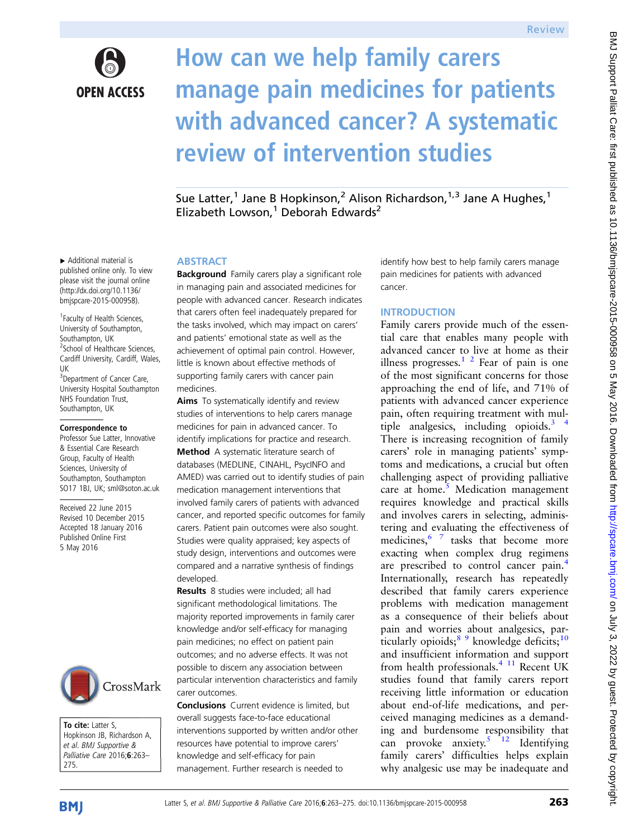

# How can we help family carers manage pain medicines for patients with advanced cancer? A systematic review of intervention studies

Sue Latter,<sup>1</sup> Jane B Hopkinson,<sup>2</sup> Alison Richardson,<sup>1,3</sup> Jane A Hughes,<sup>1</sup> Elizabeth Lowson, $1$  Deborah Edwards<sup>2</sup>

▸ Additional material is published online only. To view please visit the journal online ([http://dx.doi.org/10.1136/](http://dx.doi.org/10.1136/bmjspcare-2015-000958) [bmjspcare-2015-000958](http://dx.doi.org/10.1136/bmjspcare-2015-000958)).

<sup>1</sup> Faculty of Health Sciences, University of Southampton, Southampton, UK <sup>2</sup>School of Healthcare Sciences, Cardiff University, Cardiff, Wales, UK<br><sup>3</sup>Department of Cancer Care, University Hospital Southampton NHS Foundation Trust, Southampton, UK

#### Correspondence to

Professor Sue Latter, Innovative & Essential Care Research Group, Faculty of Health Sciences, University of Southampton, Southampton SO17 1BJ, UK; sml@soton.ac.uk

Received 22 June 2015 Revised 10 December 2015 Accepted 18 January 2016 Published Online First 5 May 2016



To cite: Latter S, Hopkinson JB, Richardson A, et al. BMJ Supportive & Palliative Care 2016;6:263-275.

## **ABSTRACT**

Background Family carers play a significant role in managing pain and associated medicines for people with advanced cancer. Research indicates that carers often feel inadequately prepared for the tasks involved, which may impact on carers' and patients' emotional state as well as the achievement of optimal pain control. However, little is known about effective methods of supporting family carers with cancer pain medicines.

Aims To systematically identify and review studies of interventions to help carers manage medicines for pain in advanced cancer. To identify implications for practice and research. Method A systematic literature search of databases (MEDLINE, CINAHL, PsycINFO and AMED) was carried out to identify studies of pain medication management interventions that involved family carers of patients with advanced cancer, and reported specific outcomes for family carers. Patient pain outcomes were also sought. Studies were quality appraised; key aspects of study design, interventions and outcomes were compared and a narrative synthesis of findings developed.

Results 8 studies were included; all had significant methodological limitations. The majority reported improvements in family carer knowledge and/or self-efficacy for managing pain medicines; no effect on patient pain outcomes; and no adverse effects. It was not possible to discern any association between particular intervention characteristics and family carer outcomes.

Conclusions Current evidence is limited, but overall suggests face-to-face educational interventions supported by written and/or other resources have potential to improve carers' knowledge and self-efficacy for pain management. Further research is needed to

identify how best to help family carers manage pain medicines for patients with advanced cancer.

## **INTRODUCTION**

Family carers provide much of the essential care that enables many people with advanced cancer to live at home as their illness progresses. $1^2$  Fear of pain is one of the most significant concerns for those approaching the end of life, and 71% of patients with advanced cancer experience pain, often requiring treatment with multiple analgesics, including opioids. $3<sup>4</sup>$ There is increasing recognition of family carers' role in managing patients' symptoms and medications, a crucial but often challenging aspect of providing palliative care at home. $<sup>5</sup>$  $<sup>5</sup>$  $<sup>5</sup>$  Medication management</sup> requires knowledge and practical skills and involves carers in selecting, administering and evaluating the effectiveness of medicines,  $\frac{6}{7}$  tasks that become more exacting when complex drug regimens are prescribed to control cancer pain.[4](#page-11-0) Internationally, research has repeatedly described that family carers experience problems with medication management as a consequence of their beliefs about pain and worries about analgesics, par-ticularly opioids;<sup>8</sup> 9</sup> knowledge deficits;<sup>[10](#page-11-0)</sup> and insufficient information and support from health professionals.<sup>[4 11](#page-11-0)</sup> Recent UK studies found that family carers report receiving little information or education about end-of-life medications, and perceived managing medicines as a demanding and burdensome responsibility that can provoke anxiety.<sup>5</sup> <sup>12</sup> Identifying family carers' difficulties helps explain why analgesic use may be inadequate and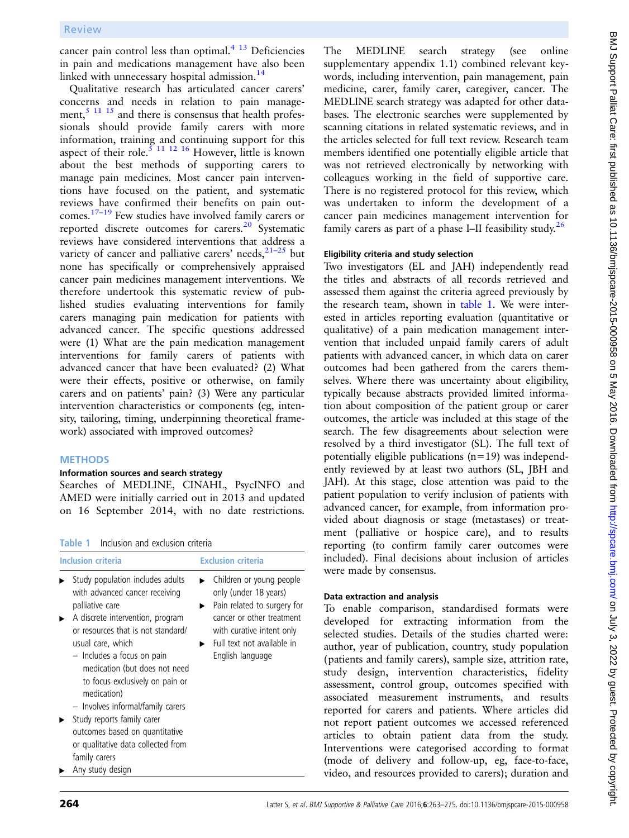cancer pain control less than optimal. $4\frac{13}{13}$  Deficiencies in pain and medications management have also been linked with unnecessary hospital admission.<sup>[14](#page-11-0)</sup>

Qualitative research has articulated cancer carers' concerns and needs in relation to pain management, $5 \frac{11}{15}$  and there is consensus that health professionals should provide family carers with more information, training and continuing support for this aspect of their role.<sup> $5$  11 <sup>12</sup> <sup>16</sup> However, little is known</sup> about the best methods of supporting carers to manage pain medicines. Most cancer pain interventions have focused on the patient, and systematic reviews have confirmed their benefits on pain outcomes.17–[19](#page-12-0) Few studies have involved family carers or reported discrete outcomes for carers.<sup>[20](#page-12-0)</sup> Systematic reviews have considered interventions that address a variety of cancer and palliative carers' needs,  $21-25$  $21-25$  but none has specifically or comprehensively appraised cancer pain medicines management interventions. We therefore undertook this systematic review of published studies evaluating interventions for family carers managing pain medication for patients with advanced cancer. The specific questions addressed were (1) What are the pain medication management interventions for family carers of patients with advanced cancer that have been evaluated? (2) What were their effects, positive or otherwise, on family carers and on patients' pain? (3) Were any particular intervention characteristics or components (eg, intensity, tailoring, timing, underpinning theoretical framework) associated with improved outcomes?

## **METHODS**

## Information sources and search strategy

Searches of MEDLINE, CINAHL, PsycINFO and AMED were initially carried out in 2013 and updated on 16 September 2014, with no date restrictions.

Table 1 Inclusion and exclusion criteria

| <b>Inclusion criteria</b>                                                                                                                                                                                                                                                                                                                                                                                                                                                             | <b>Exclusion criteria</b>                                                                                                                                                                                          |
|---------------------------------------------------------------------------------------------------------------------------------------------------------------------------------------------------------------------------------------------------------------------------------------------------------------------------------------------------------------------------------------------------------------------------------------------------------------------------------------|--------------------------------------------------------------------------------------------------------------------------------------------------------------------------------------------------------------------|
| Study population includes adults<br>with advanced cancer receiving<br>palliative care<br>A discrete intervention, program<br>or resources that is not standard/<br>usual care, which<br>- Includes a focus on pain<br>medication (but does not need<br>to focus exclusively on pain or<br>medication)<br>- Involves informal/family carers<br>Study reports family carer<br>outcomes based on quantitative<br>or qualitative data collected from<br>family carers<br>Any study design | $\blacktriangleright$ Children or young people<br>only (under 18 years)<br>Pain related to surgery for<br>cancer or other treatment<br>with curative intent only<br>Full text not available in<br>English language |

The MEDLINE search strategy (see online [supplementary appendix](http://spcare.bmj.com/lookup/suppl/doi:10.1136/bmjspcare-2015-000958/-/DC1) 1.1) combined relevant keywords, including intervention, pain management, pain medicine, carer, family carer, caregiver, cancer. The MEDLINE search strategy was adapted for other databases. The electronic searches were supplemented by scanning citations in related systematic reviews, and in the articles selected for full text review. Research team members identified one potentially eligible article that was not retrieved electronically by networking with colleagues working in the field of supportive care. There is no registered protocol for this review, which was undertaken to inform the development of a cancer pain medicines management intervention for family carers as part of a phase I–II feasibility study.<sup>[26](#page-12-0)</sup>

## Eligibility criteria and study selection

Two investigators (EL and JAH) independently read the titles and abstracts of all records retrieved and assessed them against the criteria agreed previously by the research team, shown in table 1. We were interested in articles reporting evaluation (quantitative or qualitative) of a pain medication management intervention that included unpaid family carers of adult patients with advanced cancer, in which data on carer outcomes had been gathered from the carers themselves. Where there was uncertainty about eligibility, typically because abstracts provided limited information about composition of the patient group or carer outcomes, the article was included at this stage of the search. The few disagreements about selection were resolved by a third investigator (SL). The full text of potentially eligible publications (n=19) was independently reviewed by at least two authors (SL, JBH and JAH). At this stage, close attention was paid to the patient population to verify inclusion of patients with advanced cancer, for example, from information provided about diagnosis or stage (metastases) or treatment (palliative or hospice care), and to results reporting (to confirm family carer outcomes were included). Final decisions about inclusion of articles were made by consensus.

## Data extraction and analysis

To enable comparison, standardised formats were developed for extracting information from the selected studies. Details of the studies charted were: author, year of publication, country, study population (patients and family carers), sample size, attrition rate, study design, intervention characteristics, fidelity assessment, control group, outcomes specified with associated measurement instruments, and results reported for carers and patients. Where articles did not report patient outcomes we accessed referenced articles to obtain patient data from the study. Interventions were categorised according to format (mode of delivery and follow-up, eg, face-to-face, video, and resources provided to carers); duration and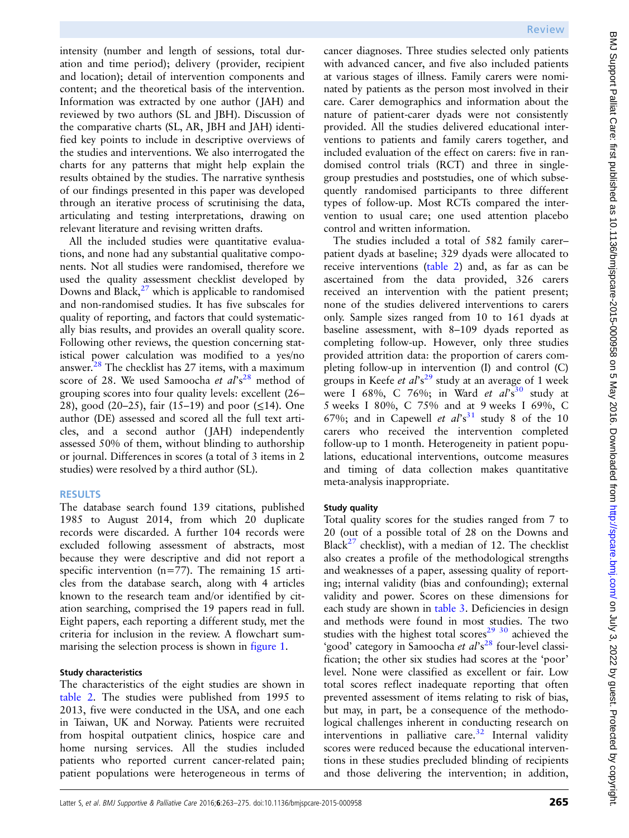intensity (number and length of sessions, total duration and time period); delivery (provider, recipient and location); detail of intervention components and content; and the theoretical basis of the intervention. Information was extracted by one author ( JAH) and reviewed by two authors (SL and JBH). Discussion of the comparative charts (SL, AR, JBH and JAH) identified key points to include in descriptive overviews of the studies and interventions. We also interrogated the charts for any patterns that might help explain the results obtained by the studies. The narrative synthesis of our findings presented in this paper was developed through an iterative process of scrutinising the data, articulating and testing interpretations, drawing on relevant literature and revising written drafts.

All the included studies were quantitative evaluations, and none had any substantial qualitative components. Not all studies were randomised, therefore we used the quality assessment checklist developed by Downs and Black, $^{27}$  $^{27}$  $^{27}$  which is applicable to randomised and non-randomised studies. It has five subscales for quality of reporting, and factors that could systematically bias results, and provides an overall quality score. Following other reviews, the question concerning statistical power calculation was modified to a yes/no answer. $^{28}$  $^{28}$  $^{28}$  The checklist has 27 items, with a maximum score of [28](#page-12-0). We used Samoocha *et al*'s<sup>28</sup> method of grouping scores into four quality levels: excellent (26– 28), good (20–25), fair (15–19) and poor ( $\leq$ 14). One author (DE) assessed and scored all the full text articles, and a second author ( JAH) independently assessed 50% of them, without blinding to authorship or journal. Differences in scores (a total of 3 items in 2 studies) were resolved by a third author (SL).

## **RESULTS**

The database search found 139 citations, published 1985 to August 2014, from which 20 duplicate records were discarded. A further 104 records were excluded following assessment of abstracts, most because they were descriptive and did not report a specific intervention ( $n=77$ ). The remaining 15 articles from the database search, along with 4 articles known to the research team and/or identified by citation searching, comprised the 19 papers read in full. Eight papers, each reporting a different study, met the criteria for inclusion in the review. A flowchart summarising the selection process is shown in [figure 1](#page-3-0).

## Study characteristics

The characteristics of the eight studies are shown in [table 2](#page-3-0). The studies were published from 1995 to 2013, five were conducted in the USA, and one each in Taiwan, UK and Norway. Patients were recruited from hospital outpatient clinics, hospice care and home nursing services. All the studies included patients who reported current cancer-related pain; patient populations were heterogeneous in terms of cancer diagnoses. Three studies selected only patients with advanced cancer, and five also included patients at various stages of illness. Family carers were nominated by patients as the person most involved in their care. Carer demographics and information about the nature of patient-carer dyads were not consistently provided. All the studies delivered educational interventions to patients and family carers together, and included evaluation of the effect on carers: five in randomised control trials (RCT) and three in singlegroup prestudies and poststudies, one of which subsequently randomised participants to three different types of follow-up. Most RCTs compared the intervention to usual care; one used attention placebo control and written information.

The studies included a total of 582 family carer– patient dyads at baseline; 329 dyads were allocated to receive interventions [\(table 2](#page-3-0)) and, as far as can be ascertained from the data provided, 326 carers received an intervention with the patient present; none of the studies delivered interventions to carers only. Sample sizes ranged from 10 to 161 dyads at baseline assessment, with 8–109 dyads reported as completing follow-up. However, only three studies provided attrition data: the proportion of carers completing follow-up in intervention (I) and control (C) groups in Keefe et al's<sup>[29](#page-12-0)</sup> study at an average of 1 week were I 68%, C 76%; in Ward et  $al^s\overline{s}^{30}$  $al^s\overline{s}^{30}$  $al^s\overline{s}^{30}$  study at 5 weeks I 80%, C 75% and at 9 weeks I 69%, C 67%; and in Capewell et  $al^s s^{31}$  $al^s s^{31}$  $al^s s^{31}$  study 8 of the 10 carers who received the intervention completed follow-up to 1 month. Heterogeneity in patient populations, educational interventions, outcome measures and timing of data collection makes quantitative meta-analysis inappropriate.

## Study quality

Total quality scores for the studies ranged from 7 to 20 (out of a possible total of 28 on the Downs and Black<sup>[27](#page-12-0)</sup> checklist), with a median of 12. The checklist also creates a profile of the methodological strengths and weaknesses of a paper, assessing quality of reporting; internal validity (bias and confounding); external validity and power. Scores on these dimensions for each study are shown in [table 3.](#page-4-0) Deficiencies in design and methods were found in most studies. The two studies with the highest total scores<sup>[29 30](#page-12-0)</sup> achieved the 'good' category in Samoocha et al's<sup>[28](#page-12-0)</sup> four-level classification; the other six studies had scores at the 'poor' level. None were classified as excellent or fair. Low total scores reflect inadequate reporting that often prevented assessment of items relating to risk of bias, but may, in part, be a consequence of the methodological challenges inherent in conducting research on interventions in palliative care. $32$  Internal validity scores were reduced because the educational interventions in these studies precluded blinding of recipients and those delivering the intervention; in addition,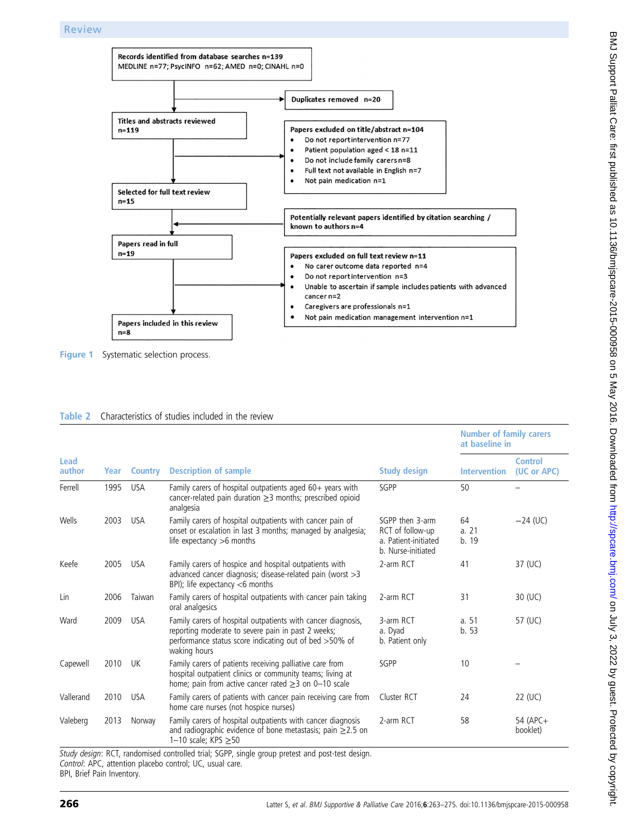<span id="page-3-0"></span>

Figure 1 Systematic selection process.

|                |      |                |                                                                                                                                                                                                 |                                                                                   | <b>Number of family carers</b><br>at baseline in |                               |
|----------------|------|----------------|-------------------------------------------------------------------------------------------------------------------------------------------------------------------------------------------------|-----------------------------------------------------------------------------------|--------------------------------------------------|-------------------------------|
| Lead<br>author | Year | <b>Country</b> | <b>Description of sample</b>                                                                                                                                                                    | <b>Study design</b>                                                               | <b>Intervention</b>                              | <b>Control</b><br>(UC or APC) |
| Ferrell        | 1995 | <b>USA</b>     | Family carers of hospital outpatients aged $60+$ years with<br>cancer-related pain duration $\geq$ 3 months; prescribed opioid<br>analgesia                                                     | SGPP                                                                              | 50                                               |                               |
| Wells          | 2003 | <b>USA</b>     | Family carers of hospital outpatients with cancer pain of<br>onset or escalation in last 3 months; managed by analgesia;<br>life expectancy $>6$ months                                         | SGPP then 3-arm<br>RCT of follow-up<br>a. Patient-initiated<br>b. Nurse-initiated | 64<br>a. 21<br>b. 19                             | $-24$ (UC)                    |
| Keefe          | 2005 | <b>USA</b>     | Family carers of hospice and hospital outpatients with<br>advanced cancer diagnosis; disease-related pain (worst >3<br>BPI); life expectancy $<$ 6 months                                       | 2-arm RCT                                                                         | 41                                               | 37 (UC)                       |
| Lin            | 2006 | Taiwan         | Family carers of hospital outpatients with cancer pain taking<br>oral analgesics                                                                                                                | 2-arm RCT                                                                         | 31                                               | 30 (UC)                       |
| Ward           | 2009 | <b>USA</b>     | Family carers of hospital outpatients with cancer diagnosis,<br>reporting moderate to severe pain in past 2 weeks;<br>performance status score indicating out of bed $>50\%$ of<br>waking hours | 3-arm RCT<br>a. Dyad<br>b. Patient only                                           | a. 51<br>b. 53                                   | 57 (UC)                       |
| Capewell       | 2010 | UK             | Family carers of patients receiving palliative care from<br>hospital outpatient clinics or community teams; living at<br>home; pain from active cancer rated $\geq$ 3 on 0-10 scale             | SGPP                                                                              | 10                                               |                               |
| Vallerand      | 2010 | <b>USA</b>     | Family carers of patients with cancer pain receiving care from<br>home care nurses (not hospice nurses)                                                                                         | Cluster RCT                                                                       | 24                                               | 22 (UC)                       |
| Valeberg       | 2013 | Norway         | Family carers of hospital outpatients with cancer diagnosis<br>and radiographic evidence of bone metastasis; pain $\geq$ 2.5 on<br>1-10 scale; KPS $\geq$ 50                                    | 2-arm RCT                                                                         | 58                                               | 54 ( $APC+$<br>booklet)       |

Table 2 Characteristics of studies included in the review

Study design: RCT, randomised controlled trial; SGPP, single group pretest and post-test design. Control: APC, attention placebo control; UC, usual care.

BPI, Brief Pain Inventory.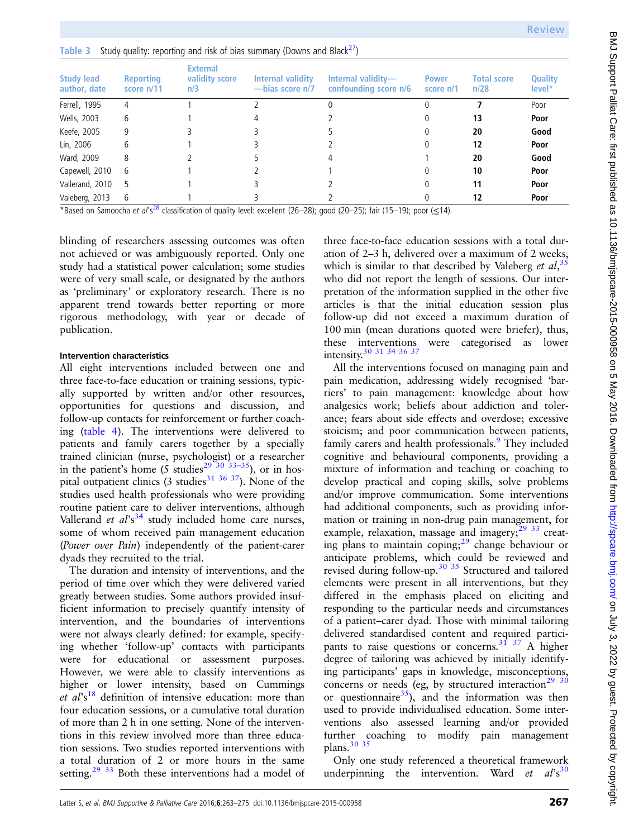<span id="page-4-0"></span>Table 3 Study quality: reporting and risk of bias summary (Downs and Black<sup>[27](#page-12-0)</sup>)

| <b>Study lead</b><br>author, date | <b>Reporting</b><br>score n/11 | <b>External</b><br>validity score<br>n/3 | Internal validity<br>$-\text{bias score}$ n/7 | Internal validity-<br>confounding score n/6 | <b>Power</b><br>score n/1 | <b>Total score</b><br>n/28 | <b>Quality</b><br>level* |
|-----------------------------------|--------------------------------|------------------------------------------|-----------------------------------------------|---------------------------------------------|---------------------------|----------------------------|--------------------------|
| Ferrell, 1995                     | 4                              |                                          |                                               |                                             |                           |                            | Poor                     |
| Wells, 2003                       | 6                              |                                          |                                               |                                             |                           | 13                         | Poor                     |
| Keefe, 2005                       | 9                              |                                          |                                               |                                             |                           | 20                         | Good                     |
| Lin, 2006                         | 6                              |                                          |                                               |                                             |                           | 12                         | Poor                     |
| Ward, 2009                        | 8                              |                                          |                                               |                                             |                           | 20                         | Good                     |
| Capewell, 2010                    | 6                              |                                          |                                               |                                             |                           | 10                         | Poor                     |
| Vallerand, 2010                   | 5                              |                                          |                                               |                                             |                           | 11                         | Poor                     |
| Valeberg, 2013                    | 6                              |                                          |                                               |                                             |                           | 12                         | Poor                     |

\*Based on Samoocha *et al's<sup>[28](#page-12-0)</sup>* classification of quality level: excellent (26–28); good (20–25); fair (15–19); poor (≤14).

blinding of researchers assessing outcomes was often not achieved or was ambiguously reported. Only one study had a statistical power calculation; some studies were of very small scale, or designated by the authors as 'preliminary' or exploratory research. There is no apparent trend towards better reporting or more rigorous methodology, with year or decade of publication.

## Intervention characteristics

All eight interventions included between one and three face-to-face education or training sessions, typically supported by written and/or other resources, opportunities for questions and discussion, and follow-up contacts for reinforcement or further coaching [\(table 4\)](#page-5-0). The interventions were delivered to patients and family carers together by a specially trained clinician (nurse, psychologist) or a researcher in the patient's home (5 studies<sup>[29 30](#page-12-0) 33–35</sup>), or in hospital outpatient clinics (3 studies<sup>31 36 37</sup>). None of the studies used health professionals who were providing routine patient care to deliver interventions, although Vallerand et al's<sup>[34](#page-12-0)</sup> study included home care nurses, some of whom received pain management education (Power over Pain) independently of the patient-carer dyads they recruited to the trial.

The duration and intensity of interventions, and the period of time over which they were delivered varied greatly between studies. Some authors provided insufficient information to precisely quantify intensity of intervention, and the boundaries of interventions were not always clearly defined: for example, specifying whether 'follow-up' contacts with participants were for educational or assessment purposes. However, we were able to classify interventions as higher or lower intensity, based on Cummings et al's<sup>[18](#page-12-0)</sup> definition of intensive education: more than four education sessions, or a cumulative total duration of more than 2 h in one setting. None of the interventions in this review involved more than three education sessions. Two studies reported interventions with a total duration of 2 or more hours in the same setting.<sup>29</sup> <sup>33</sup> Both these interventions had a model of

three face-to-face education sessions with a total duration of 2–3 h, delivered over a maximum of 2 weeks, which is similar to that described by Valeberg et  $al$ ,  $3\overline{5}$ , who did not report the length of sessions. Our interpretation of the information supplied in the other five articles is that the initial education session plus follow-up did not exceed a maximum duration of 100 min (mean durations quoted were briefer), thus, these interventions were categorised as lower intensity.<sup>30</sup> <sup>31</sup> <sup>34</sup> <sup>36</sup> <sup>37</sup>

All the interventions focused on managing pain and pain medication, addressing widely recognised 'barriers' to pain management: knowledge about how analgesics work; beliefs about addiction and tolerance; fears about side effects and overdose; excessive stoicism; and poor communication between patients, family carers and health professionals.<sup>[9](#page-11-0)</sup> They included cognitive and behavioural components, providing a mixture of information and teaching or coaching to develop practical and coping skills, solve problems and/or improve communication. Some interventions had additional components, such as providing information or training in non-drug pain management, for example, relaxation, massage and imagery; $29\frac{33}{33}$  creating plans to maintain coping; $^{29}$  $^{29}$  $^{29}$  change behaviour or anticipate problems, which could be reviewed and revised during follow-up.<sup>30</sup> 35 Structured and tailored elements were present in all interventions, but they differed in the emphasis placed on eliciting and responding to the particular needs and circumstances of a patient–carer dyad. Those with minimal tailoring delivered standardised content and required participants to raise questions or concerns.<sup>31 37</sup> A higher degree of tailoring was achieved by initially identifying participants' gaps in knowledge, misconceptions, concerns or needs (eg, by structured interaction<sup>[29 30](#page-12-0)</sup> or questionnaire<sup>[35](#page-12-0)</sup>), and the information was then used to provide individualised education. Some interventions also assessed learning and/or provided further coaching to modify pain management plans. $30$  35

Only one study referenced a theoretical framework underpinning the intervention. Ward  $et$  $al$ 's<sup>[30](#page-12-0)</sup>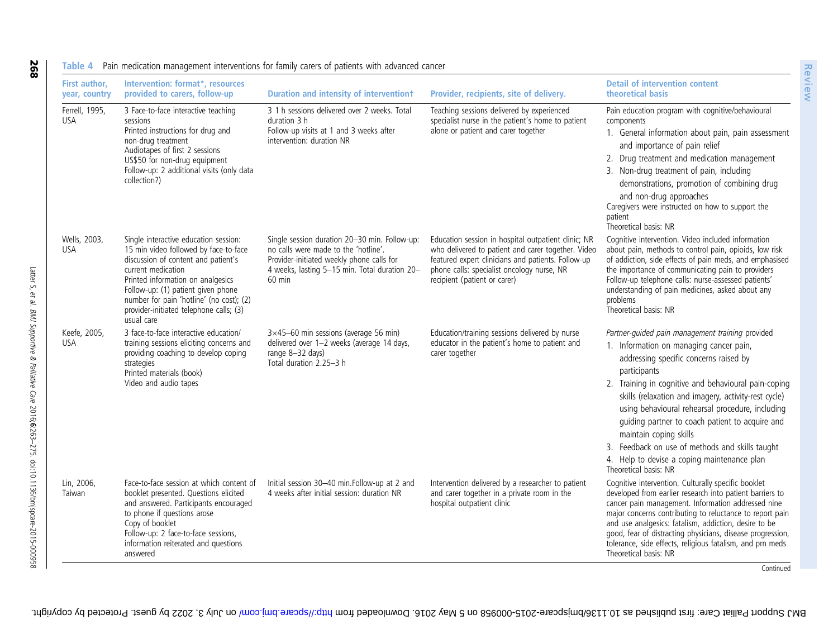| First author,<br>year, country | Intervention: format*, resources<br>provided to carers, follow-up                                                                                                                                                                                                                                                           | Duration and intensity of interventiont                                                                                                                                                       | Provider, recipients, site of delivery.                                                                                                                                                                                                       | <b>Detail of intervention content</b><br>theoretical basis                                                                                                                                                                                                                                                                                                                                                                                                                                                                        |
|--------------------------------|-----------------------------------------------------------------------------------------------------------------------------------------------------------------------------------------------------------------------------------------------------------------------------------------------------------------------------|-----------------------------------------------------------------------------------------------------------------------------------------------------------------------------------------------|-----------------------------------------------------------------------------------------------------------------------------------------------------------------------------------------------------------------------------------------------|-----------------------------------------------------------------------------------------------------------------------------------------------------------------------------------------------------------------------------------------------------------------------------------------------------------------------------------------------------------------------------------------------------------------------------------------------------------------------------------------------------------------------------------|
| Ferrell, 1995,<br><b>USA</b>   | 3 Face-to-face interactive teaching<br>sessions<br>Printed instructions for drug and<br>non-drug treatment<br>Audiotapes of first 2 sessions<br>US\$50 for non-drug equipment<br>Follow-up: 2 additional visits (only data<br>collection?)                                                                                  | 3 1 h sessions delivered over 2 weeks. Total<br>duration 3 h<br>Follow-up visits at 1 and 3 weeks after<br>intervention: duration NR                                                          | Teaching sessions delivered by experienced<br>specialist nurse in the patient's home to patient<br>alone or patient and carer together                                                                                                        | Pain education program with cognitive/behavioural<br>components<br>1. General information about pain, pain assessment<br>and importance of pain relief<br>2. Drug treatment and medication management<br>3. Non-drug treatment of pain, including<br>demonstrations, promotion of combining drug<br>and non-drug approaches<br>Caregivers were instructed on how to support the<br>patient<br>Theoretical basis: NR                                                                                                               |
| Wells, 2003,<br><b>USA</b>     | Single interactive education session:<br>15 min video followed by face-to-face<br>discussion of content and patient's<br>current medication<br>Printed information on analgesics<br>Follow-up: (1) patient given phone<br>number for pain 'hotline' (no cost); (2)<br>provider-initiated telephone calls; (3)<br>usual care | Single session duration 20–30 min. Follow-up:<br>no calls were made to the 'hotline'.<br>Provider-initiated weekly phone calls for<br>4 weeks, lasting 5-15 min. Total duration 20-<br>60 min | Education session in hospital outpatient clinic; NR<br>who delivered to patient and carer together. Video<br>featured expert clinicians and patients. Follow-up<br>phone calls: specialist oncology nurse, NR<br>recipient (patient or carer) | Cognitive intervention. Video included information<br>about pain, methods to control pain, opioids, low risk<br>of addiction, side effects of pain meds, and emphasised<br>the importance of communicating pain to providers<br>Follow-up telephone calls: nurse-assessed patients'<br>understanding of pain medicines, asked about any<br>problems<br>Theoretical basis: NR                                                                                                                                                      |
| Keefe, 2005,<br><b>USA</b>     | 3 face-to-face interactive education/<br>training sessions eliciting concerns and<br>providing coaching to develop coping<br>strategies<br>Printed materials (book)<br>Video and audio tapes                                                                                                                                | $3\times45-60$ min sessions (average 56 min)<br>delivered over 1-2 weeks (average 14 days,<br>range 8-32 days)<br>Total duration 2.25-3 h                                                     | Education/training sessions delivered by nurse<br>educator in the patient's home to patient and<br>carer together                                                                                                                             | Partner-quided pain management training provided<br>1. Information on managing cancer pain,<br>addressing specific concerns raised by<br>participants<br>2. Training in cognitive and behavioural pain-coping<br>skills (relaxation and imagery, activity-rest cycle)<br>using behavioural rehearsal procedure, including<br>quiding partner to coach patient to acquire and<br>maintain coping skills<br>3. Feedback on use of methods and skills taught<br>4. Help to devise a coping maintenance plan<br>Theoretical basis: NR |
| Lin, 2006,<br>Taiwan           | Face-to-face session at which content of<br>booklet presented. Questions elicited<br>and answered. Participants encouraged<br>to phone if questions arose<br>Copy of booklet<br>Follow-up: 2 face-to-face sessions,<br>information reiterated and questions<br>answered                                                     | Initial session 30-40 min. Follow-up at 2 and<br>4 weeks after initial session: duration NR                                                                                                   | Intervention delivered by a researcher to patient<br>and carer together in a private room in the<br>hospital outpatient clinic                                                                                                                | Cognitive intervention. Culturally specific booklet<br>developed from earlier research into patient barriers to<br>cancer pain management. Information addressed nine<br>major concerns contributing to reluctance to report pain<br>and use analgesics: fatalism, addiction, desire to be<br>good, fear of distracting physicians, disease progression,<br>tolerance, side effects, religious fatalism, and prn meds<br>Theoretical basis: NR                                                                                    |

Table 4 Pain medication management interventions for family carers of patients with advanced cancer

**Continued** 

<span id="page-5-0"></span>268

Latter S,

et al.

BMJ Supportive & Palliative Care

2016;6:263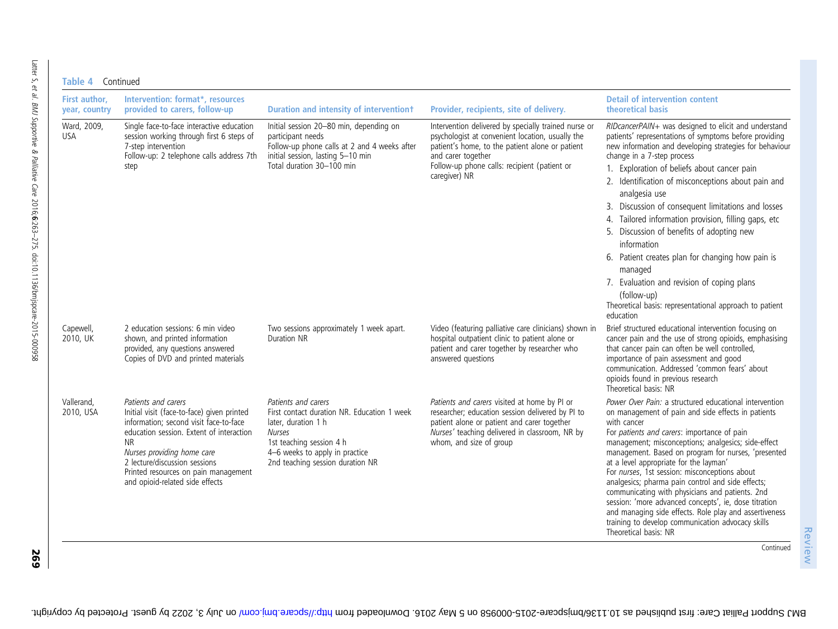| Table 4 Continued              |                                                                                                                                                                                                                                                                                                                |                                                                                                                                                                                                       |                                                                                                                                                                                                                                                    |                                                                                                                                                                                                                                                                                                                                                                                                                                                                                                                                                                                                                                                                                                             |
|--------------------------------|----------------------------------------------------------------------------------------------------------------------------------------------------------------------------------------------------------------------------------------------------------------------------------------------------------------|-------------------------------------------------------------------------------------------------------------------------------------------------------------------------------------------------------|----------------------------------------------------------------------------------------------------------------------------------------------------------------------------------------------------------------------------------------------------|-------------------------------------------------------------------------------------------------------------------------------------------------------------------------------------------------------------------------------------------------------------------------------------------------------------------------------------------------------------------------------------------------------------------------------------------------------------------------------------------------------------------------------------------------------------------------------------------------------------------------------------------------------------------------------------------------------------|
| First author,<br>year, country | Intervention: format*, resources<br>provided to carers, follow-up                                                                                                                                                                                                                                              | <b>Duration and intensity of interventiont</b>                                                                                                                                                        | Provider, recipients, site of delivery.                                                                                                                                                                                                            | <b>Detail of intervention content</b><br>theoretical basis                                                                                                                                                                                                                                                                                                                                                                                                                                                                                                                                                                                                                                                  |
| Ward, 2009,<br><b>USA</b>      | Single face-to-face interactive education<br>session working through first 6 steps of<br>7-step intervention<br>Follow-up: 2 telephone calls address 7th<br>step                                                                                                                                               | Initial session 20-80 min, depending on<br>participant needs<br>Follow-up phone calls at 2 and 4 weeks after<br>initial session, lasting 5-10 min<br>Total duration 30-100 min                        | Intervention delivered by specially trained nurse or<br>psychologist at convenient location, usually the<br>patient's home, to the patient alone or patient<br>and carer together<br>Follow-up phone calls: recipient (patient or<br>caregiver) NR | RIDcancerPAIN+ was designed to elicit and understand<br>patients' representations of symptoms before providing<br>new information and developing strategies for behaviour<br>change in a 7-step process<br>1. Exploration of beliefs about cancer pain<br>2. Identification of misconceptions about pain and<br>analgesia use<br>3. Discussion of consequent limitations and losses<br>4. Tailored information provision, filling gaps, etc<br>5. Discussion of benefits of adopting new<br>information<br>6. Patient creates plan for changing how pain is<br>managed<br>7. Evaluation and revision of coping plans<br>(follow-up)<br>Theoretical basis: representational approach to patient<br>education |
| Capewell,<br>2010, UK          | 2 education sessions: 6 min video<br>shown, and printed information<br>provided, any questions answered<br>Copies of DVD and printed materials                                                                                                                                                                 | Two sessions approximately 1 week apart.<br>Duration NR                                                                                                                                               | Video (featuring palliative care clinicians) shown in<br>hospital outpatient clinic to patient alone or<br>patient and carer together by researcher who<br>answered questions                                                                      | Brief structured educational intervention focusing on<br>cancer pain and the use of strong opioids, emphasising<br>that cancer pain can often be well controlled,<br>importance of pain assessment and good<br>communication. Addressed 'common fears' about<br>opioids found in previous research<br>Theoretical basis: NR                                                                                                                                                                                                                                                                                                                                                                                 |
| Vallerand,<br>2010, USA        | Patients and carers<br>Initial visit (face-to-face) given printed<br>information; second visit face-to-face<br>education session. Extent of interaction<br><b>NR</b><br>Nurses providing home care<br>2 lecture/discussion sessions<br>Printed resources on pain management<br>and opioid-related side effects | Patients and carers<br>First contact duration NR. Education 1 week<br>later, duration 1 h<br>Nurses<br>1st teaching session 4 h<br>4-6 weeks to apply in practice<br>2nd teaching session duration NR | Patients and carers visited at home by PI or<br>researcher; education session delivered by PI to<br>patient alone or patient and carer together<br>Nurses' teaching delivered in classroom, NR by<br>whom, and size of group                       | Power Over Pain: a structured educational intervention<br>on management of pain and side effects in patients<br>with cancer<br>For patients and carers: importance of pain<br>management; misconceptions; analgesics; side-effect<br>management. Based on program for nurses, 'presented<br>at a level appropriate for the layman'<br>For nurses, 1st session: misconceptions about<br>analgesics; pharma pain control and side effects;<br>communicating with physicians and patients. 2nd<br>session: 'more advanced concepts', ie, dose titration<br>and managing side effects. Role play and assertiveness<br>training to develop communication advocacy skills<br>Theoretical basis: NR                |

**Continued** 

Review

269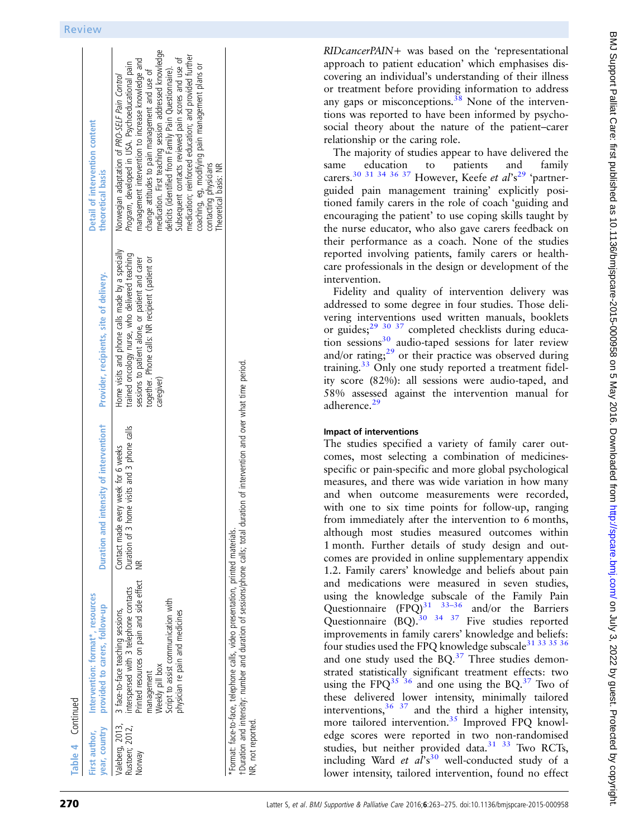| Table 4 Continued        |                                                                                                                                                                                                                                                     |                                                                                         |                                                                                                                                                                                                                       |                                                                                                                                                                                                                                                                                                                                                                                                                                                                                                                                                     |
|--------------------------|-----------------------------------------------------------------------------------------------------------------------------------------------------------------------------------------------------------------------------------------------------|-----------------------------------------------------------------------------------------|-----------------------------------------------------------------------------------------------------------------------------------------------------------------------------------------------------------------------|-----------------------------------------------------------------------------------------------------------------------------------------------------------------------------------------------------------------------------------------------------------------------------------------------------------------------------------------------------------------------------------------------------------------------------------------------------------------------------------------------------------------------------------------------------|
|                          | First author, Intervention: format*, resources<br>year, country provided to carers, follow-up                                                                                                                                                       | Duration and intensity of interventiont                                                 | Provider, recipients, site of delivery.                                                                                                                                                                               | Detail of intervention content<br>theoretical basis                                                                                                                                                                                                                                                                                                                                                                                                                                                                                                 |
| Rustoen; 2012,<br>Norway | Printed resources on pain and side effect<br>interspersed with 3 telephone contacts<br>Script to assist communication with<br>Valeberg, 2013, 3 face-to-face teaching sessions,<br>physician re pain and medicines<br>Weekly pill box<br>management | Duration of 3 home visits and 3 phone calls<br>Contact made every week for 6 weeks<br>g | Home visits and phone calls made by a specially<br>trained oncology nurse, who delivered teaching<br>sessions to patient alone, or patient and carer<br>together. Phone calls: NR recipient (patient or<br>caregiver) | medication. First teaching session addressed knowledge<br>medication; reinforced education; and provided further<br>subsequent contacts reviewed pain scores and use of<br>management intervention to increase knowledge and<br>Program, developed in USA. Psychoeducational pain<br>coaching, eg, modifying pain management plans or<br>deficits (identified from Family Pain Questionnaire).<br>change attitudes to pain management and use of<br>Norwegian adaptation of PRO-SELF Pain Control<br>contacting physicians<br>Theoretical basis: NR |
|                          | *Format: face-to-face, telephone calls, video presentation, printed materials.                                                                                                                                                                      |                                                                                         |                                                                                                                                                                                                                       |                                                                                                                                                                                                                                                                                                                                                                                                                                                                                                                                                     |

\*Format: face-to-face, telephone calls, video presentation, printed materials.<br>†Duration and intensity: number and duration of sessions/phone calls; total duration of intervention and over what time period.<br>NR, not reporte †Duration and intensity: number and duration of sessions/phone calls; total duration of intervention and over what time period.

NR, not reported.

RIDcancerPAIN+ was based on the 'representational approach to patient education' which emphasises discovering an individual's understanding of their illness or treatment before providing information to address any gaps or misconceptions.  $\frac{38}{38}$  $\frac{38}{38}$  $\frac{38}{38}$  None of the interventions was reported to have been informed by psychosocial theory about the nature of the patient–carer relationship or the caring role.

The majority of studies appear to have delivered the same education to patients and family carers.<sup>[30 31 34 36 37](#page-12-0)</sup> However, Keefe et al's<sup>[29](#page-12-0)</sup> 'partnerguided pain management training' explicitly positioned family carers in the role of coach 'guiding and encouraging the patient' to use coping skills taught by the nurse educator, who also gave carers feedback on their performance as a coach. None of the studies reported involving patients, family carers or healthcare professionals in the design or development of the intervention.

Fidelity and quality of intervention delivery was addressed to some degree in four studies. Those delivering interventions used written manuals, booklets or guides; $29\frac{30\frac{37}{2}}{20}$  completed checklists during education sessions $30$  audio-taped sessions for later review and/or rating; $^{29}$  $^{29}$  $^{29}$  or their practice was observed during training.<sup>[33](#page-12-0)</sup> Only one study reported a treatment fidelity score (82%): all sessions were audio-taped, and 58% assessed against the intervention manual for adherence.[29](#page-12-0)

# Impact of interventions

The studies specified a variety of family carer outcomes, most selecting a combination of medicinesspecific or pain-specific and more global psychological measures, and there was wide variation in how many and when outcome measurements were recorded, with one to six time points for follow-up, ranging from immediately after the intervention to 6 months, although most studies measured outcomes within 1 month. Further details of study design and outcomes are provided in online [supplementary appendix](http://spcare.bmj.com/lookup/suppl/doi:10.1136/bmjspcare-2015-000958/-/DC1) 1.2. Family carers' knowledge and beliefs about pain and medications were measured in seven studies, using the knowledge subscale of the Family Pain Questionnaire  $(FPQ)^{31}$  $(FPQ)^{31}$  $(FPQ)^{31}$  33-[36](#page-12-0) and/or the Barriers Questionnaire  $(BQ)$ .<sup>30</sup> <sup>34</sup> <sup>37</sup> Five studies reported improvements in family carers' knowledge and beliefs: four studies used the FPQ knowledge subscale  $31\,33\,35\,36$ and one study used the  $BQ<sup>37</sup>$  $BQ<sup>37</sup>$  $BQ<sup>37</sup>$  Three studies demonstrated statistically significant treatment effects: two using the FPQ $^{35}$  36 and one using the BQ.<sup>[37](#page-12-0)</sup> Two of these delivered lower intensity, minimally tailored interventions,  $36 \times 37$  and the third a higher intensity, more tailored intervention.<sup>[35](#page-12-0)</sup> Improved FPQ knowledge scores were reported in two non-randomised studies, but neither provided data. $31$   $33$  Two RCTs, including Ward et  $a\ddot{l}$ 's<sup>[30](#page-12-0)</sup> well-conducted study of a lower intensity, tailored intervention, found no effect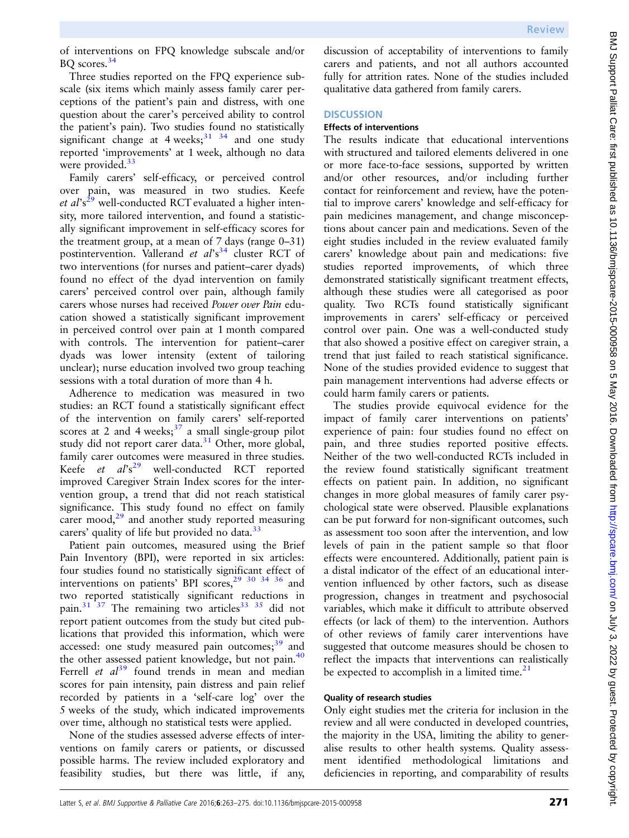of interventions on FPQ knowledge subscale and/or BO scores.<sup>[34](#page-12-0)</sup>

Three studies reported on the FPQ experience subscale (six items which mainly assess family carer perceptions of the patient's pain and distress, with one question about the carer's perceived ability to control the patient's pain). Two studies found no statistically significant change at 4 weeks;  $31^{34}$  and one study reported 'improvements' at 1 week, although no data were provided. $33$ 

Family carers' self-efficacy, or perceived control over pain, was measured in two studies. Keefe et al's<sup>[29](#page-12-0)</sup> well-conducted RCT evaluated a higher intensity, more tailored intervention, and found a statistically significant improvement in self-efficacy scores for the treatment group, at a mean of  $7$  days (range  $0-31$ ) postintervention. Vallerand et al's<sup>[34](#page-12-0)</sup> cluster RCT of two interventions (for nurses and patient–carer dyads) found no effect of the dyad intervention on family carers' perceived control over pain, although family carers whose nurses had received Power over Pain education showed a statistically significant improvement in perceived control over pain at 1 month compared with controls. The intervention for patient–carer dyads was lower intensity (extent of tailoring unclear); nurse education involved two group teaching sessions with a total duration of more than 4 h.

Adherence to medication was measured in two studies: an RCT found a statistically significant effect of the intervention on family carers' self-reported scores at 2 and 4 weeks; $37$  a small single-group pilot study did not report carer data. $31$  Other, more global, family carer outcomes were measured in three studies. Keefe et al's<sup>[29](#page-12-0)</sup> well-conducted RCT reported improved Caregiver Strain Index scores for the intervention group, a trend that did not reach statistical significance. This study found no effect on family carer mood, $2^9$  and another study reported measuring carers' quality of life but provided no data. $33$ 

Patient pain outcomes, measured using the Brief Pain Inventory (BPI), were reported in six articles: four studies found no statistically significant effect of interventions on patients' BPI scores, $29$  30 34 36 and two reported statistically significant reductions in pain. $31 \overline{37}$  The remaining two articles<sup>33</sup> 35 did not report patient outcomes from the study but cited publications that provided this information, which were accessed: one study measured pain outcomes; $39$  and the other assessed patient knowledge, but not pain. $40$ Ferrell et  $al^{39}$  $al^{39}$  $al^{39}$  found trends in mean and median scores for pain intensity, pain distress and pain relief recorded by patients in a 'self-care log' over the 5 weeks of the study, which indicated improvements over time, although no statistical tests were applied.

None of the studies assessed adverse effects of interventions on family carers or patients, or discussed possible harms. The review included exploratory and feasibility studies, but there was little, if any,

discussion of acceptability of interventions to family carers and patients, and not all authors accounted fully for attrition rates. None of the studies included qualitative data gathered from family carers.

## **DISCUSSION**

## Effects of interventions

The results indicate that educational interventions with structured and tailored elements delivered in one or more face-to-face sessions, supported by written and/or other resources, and/or including further contact for reinforcement and review, have the potential to improve carers' knowledge and self-efficacy for pain medicines management, and change misconceptions about cancer pain and medications. Seven of the eight studies included in the review evaluated family carers' knowledge about pain and medications: five studies reported improvements, of which three demonstrated statistically significant treatment effects, although these studies were all categorised as poor quality. Two RCTs found statistically significant improvements in carers' self-efficacy or perceived control over pain. One was a well-conducted study that also showed a positive effect on caregiver strain, a trend that just failed to reach statistical significance. None of the studies provided evidence to suggest that pain management interventions had adverse effects or could harm family carers or patients.

The studies provide equivocal evidence for the impact of family carer interventions on patients' experience of pain: four studies found no effect on pain, and three studies reported positive effects. Neither of the two well-conducted RCTs included in the review found statistically significant treatment effects on patient pain. In addition, no significant changes in more global measures of family carer psychological state were observed. Plausible explanations can be put forward for non-significant outcomes, such as assessment too soon after the intervention, and low levels of pain in the patient sample so that floor effects were encountered. Additionally, patient pain is a distal indicator of the effect of an educational intervention influenced by other factors, such as disease progression, changes in treatment and psychosocial variables, which make it difficult to attribute observed effects (or lack of them) to the intervention. Authors of other reviews of family carer interventions have suggested that outcome measures should be chosen to reflect the impacts that interventions can realistically be expected to accomplish in a limited time. $21$ 

## Quality of research studies

Only eight studies met the criteria for inclusion in the review and all were conducted in developed countries, the majority in the USA, limiting the ability to generalise results to other health systems. Quality assessment identified methodological limitations and deficiencies in reporting, and comparability of results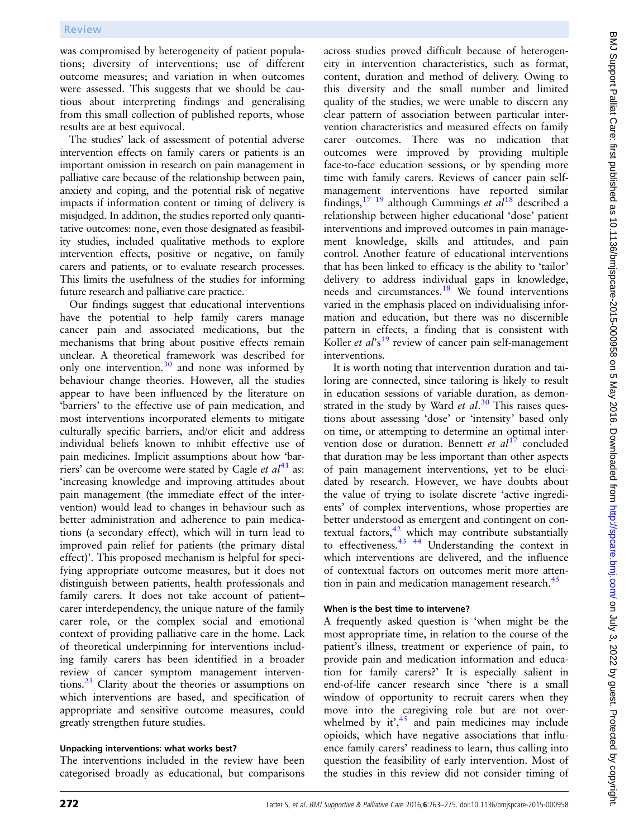was compromised by heterogeneity of patient populations; diversity of interventions; use of different outcome measures; and variation in when outcomes were assessed. This suggests that we should be cautious about interpreting findings and generalising from this small collection of published reports, whose results are at best equivocal.

The studies' lack of assessment of potential adverse intervention effects on family carers or patients is an important omission in research on pain management in palliative care because of the relationship between pain, anxiety and coping, and the potential risk of negative impacts if information content or timing of delivery is misjudged. In addition, the studies reported only quantitative outcomes: none, even those designated as feasibility studies, included qualitative methods to explore intervention effects, positive or negative, on family carers and patients, or to evaluate research processes. This limits the usefulness of the studies for informing future research and palliative care practice.

Our findings suggest that educational interventions have the potential to help family carers manage cancer pain and associated medications, but the mechanisms that bring about positive effects remain unclear. A theoretical framework was described for only one intervention. $30$  and none was informed by behaviour change theories. However, all the studies appear to have been influenced by the literature on 'barriers' to the effective use of pain medication, and most interventions incorporated elements to mitigate culturally specific barriers, and/or elicit and address individual beliefs known to inhibit effective use of pain medicines. Implicit assumptions about how 'barriers' can be overcome were stated by Cagle *et al*<sup>[41](#page-12-0)</sup> as: 'increasing knowledge and improving attitudes about pain management (the immediate effect of the intervention) would lead to changes in behaviour such as better administration and adherence to pain medications (a secondary effect), which will in turn lead to improved pain relief for patients (the primary distal effect)'. This proposed mechanism is helpful for specifying appropriate outcome measures, but it does not distinguish between patients, health professionals and family carers. It does not take account of patient– carer interdependency, the unique nature of the family carer role, or the complex social and emotional context of providing palliative care in the home. Lack of theoretical underpinning for interventions including family carers has been identified in a broader review of cancer symptom management interventions.[23](#page-12-0) Clarity about the theories or assumptions on which interventions are based, and specification of appropriate and sensitive outcome measures, could greatly strengthen future studies.

## Unpacking interventions: what works best?

The interventions included in the review have been categorised broadly as educational, but comparisons across studies proved difficult because of heterogeneity in intervention characteristics, such as format, content, duration and method of delivery. Owing to this diversity and the small number and limited quality of the studies, we were unable to discern any clear pattern of association between particular intervention characteristics and measured effects on family carer outcomes. There was no indication that outcomes were improved by providing multiple face-to-face education sessions, or by spending more time with family carers. Reviews of cancer pain selfmanagement interventions have reported similar findings,  $17 \frac{19}{9}$  although Cummings *et al*<sup>[18](#page-12-0)</sup> described a relationship between higher educational 'dose' patient interventions and improved outcomes in pain management knowledge, skills and attitudes, and pain control. Another feature of educational interventions that has been linked to efficacy is the ability to 'tailor' delivery to address individual gaps in knowledge, needs and circumstances.[18](#page-12-0) We found interventions varied in the emphasis placed on individualising information and education, but there was no discernible pattern in effects, a finding that is consistent with Koller et al's<sup>[19](#page-12-0)</sup> review of cancer pain self-management interventions.

It is worth noting that intervention duration and tailoring are connected, since tailoring is likely to result in education sessions of variable duration, as demonstrated in the study by Ward et  $al.^{30}$  $al.^{30}$  $al.^{30}$  This raises questions about assessing 'dose' or 'intensity' based only on time, or attempting to determine an optimal intervention dose or duration. Bennett et  $al^{17}$  $al^{17}$  $al^{17}$  concluded that duration may be less important than other aspects of pain management interventions, yet to be elucidated by research. However, we have doubts about the value of trying to isolate discrete 'active ingredients' of complex interventions, whose properties are better understood as emergent and contingent on contextual factors, $42$  which may contribute substantially to effectiveness.[43 44](#page-12-0) Understanding the context in which interventions are delivered, and the influence of contextual factors on outcomes merit more atten-tion in pain and medication management research.<sup>[45](#page-12-0)</sup>

# When is the best time to intervene?

A frequently asked question is 'when might be the most appropriate time, in relation to the course of the patient's illness, treatment or experience of pain, to provide pain and medication information and education for family carers?' It is especially salient in end-of-life cancer research since 'there is a small window of opportunity to recruit carers when they move into the caregiving role but are not overwhelmed by it', $45$  and pain medicines may include opioids, which have negative associations that influence family carers' readiness to learn, thus calling into question the feasibility of early intervention. Most of the studies in this review did not consider timing of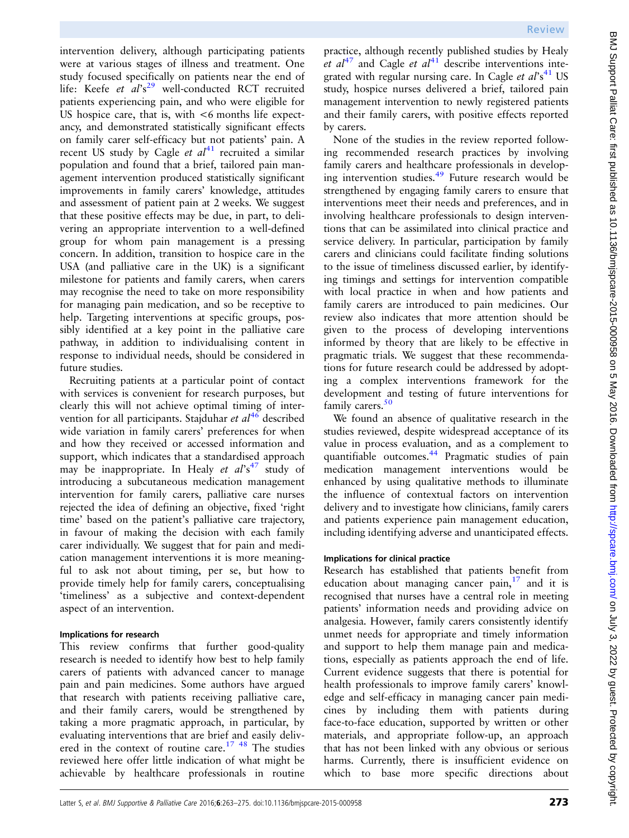intervention delivery, although participating patients were at various stages of illness and treatment. One study focused specifically on patients near the end of life: Keefe et al's<sup>[29](#page-12-0)</sup> well-conducted RCT recruited patients experiencing pain, and who were eligible for US hospice care, that is, with  $\leq 6$  months life expectancy, and demonstrated statistically significant effects on family carer self-efficacy but not patients' pain. A recent US study by Cagle et  $al<sup>41</sup>$  $al<sup>41</sup>$  $al<sup>41</sup>$  recruited a similar population and found that a brief, tailored pain management intervention produced statistically significant improvements in family carers' knowledge, attitudes and assessment of patient pain at 2 weeks. We suggest that these positive effects may be due, in part, to delivering an appropriate intervention to a well-defined group for whom pain management is a pressing concern. In addition, transition to hospice care in the USA (and palliative care in the UK) is a significant milestone for patients and family carers, when carers may recognise the need to take on more responsibility for managing pain medication, and so be receptive to help. Targeting interventions at specific groups, possibly identified at a key point in the palliative care pathway, in addition to individualising content in response to individual needs, should be considered in future studies.

Recruiting patients at a particular point of contact with services is convenient for research purposes, but clearly this will not achieve optimal timing of intervention for all participants. Stajduhar *et al*<sup>[46](#page-12-0)</sup> described wide variation in family carers' preferences for when and how they received or accessed information and support, which indicates that a standardised approach may be inappropriate. In Healy et al's<sup>[47](#page-12-0)</sup> study of introducing a subcutaneous medication management intervention for family carers, palliative care nurses rejected the idea of defining an objective, fixed 'right time' based on the patient's palliative care trajectory, in favour of making the decision with each family carer individually. We suggest that for pain and medication management interventions it is more meaningful to ask not about timing, per se, but how to provide timely help for family carers, conceptualising 'timeliness' as a subjective and context-dependent aspect of an intervention.

## Implications for research

This review confirms that further good-quality research is needed to identify how best to help family carers of patients with advanced cancer to manage pain and pain medicines. Some authors have argued that research with patients receiving palliative care, and their family carers, would be strengthened by taking a more pragmatic approach, in particular, by evaluating interventions that are brief and easily deliv-ered in the context of routine care.<sup>[17 48](#page-12-0)</sup> The studies reviewed here offer little indication of what might be achievable by healthcare professionals in routine

practice, although recently published studies by Healy et  $al^{47}$  $al^{47}$  $al^{47}$  and Cagle et  $al^{41}$  $al^{41}$  $al^{41}$  describe interventions inte-grated with regular nursing care. In Cagle et al's<sup>[41](#page-12-0)</sup> US study, hospice nurses delivered a brief, tailored pain management intervention to newly registered patients and their family carers, with positive effects reported by carers.

None of the studies in the review reported following recommended research practices by involving family carers and healthcare professionals in developing intervention studies.[49](#page-12-0) Future research would be strengthened by engaging family carers to ensure that interventions meet their needs and preferences, and in involving healthcare professionals to design interventions that can be assimilated into clinical practice and service delivery. In particular, participation by family carers and clinicians could facilitate finding solutions to the issue of timeliness discussed earlier, by identifying timings and settings for intervention compatible with local practice in when and how patients and family carers are introduced to pain medicines. Our review also indicates that more attention should be given to the process of developing interventions informed by theory that are likely to be effective in pragmatic trials. We suggest that these recommendations for future research could be addressed by adopting a complex interventions framework for the development and testing of future interventions for family carers.<sup>[50](#page-12-0)</sup>

We found an absence of qualitative research in the studies reviewed, despite widespread acceptance of its value in process evaluation, and as a complement to quantifiable outcomes.<sup>[44](#page-12-0)</sup> Pragmatic studies of pain medication management interventions would be enhanced by using qualitative methods to illuminate the influence of contextual factors on intervention delivery and to investigate how clinicians, family carers and patients experience pain management education, including identifying adverse and unanticipated effects.

# Implications for clinical practice

Research has established that patients benefit from education about managing cancer pain, $17$  and it is recognised that nurses have a central role in meeting patients' information needs and providing advice on analgesia. However, family carers consistently identify unmet needs for appropriate and timely information and support to help them manage pain and medications, especially as patients approach the end of life. Current evidence suggests that there is potential for health professionals to improve family carers' knowledge and self-efficacy in managing cancer pain medicines by including them with patients during face-to-face education, supported by written or other materials, and appropriate follow-up, an approach that has not been linked with any obvious or serious harms. Currently, there is insufficient evidence on which to base more specific directions about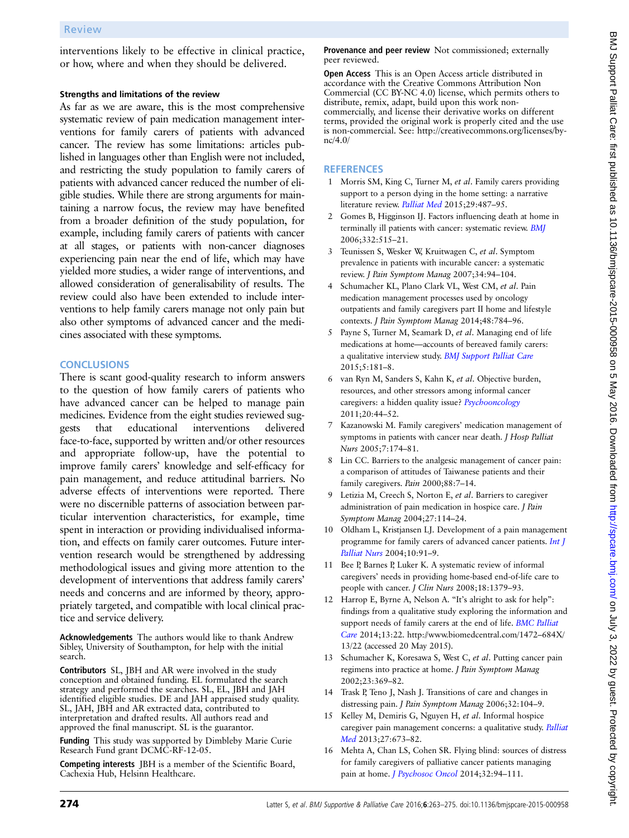<span id="page-11-0"></span>interventions likely to be effective in clinical practice, or how, where and when they should be delivered.

## Strengths and limitations of the review

As far as we are aware, this is the most comprehensive systematic review of pain medication management interventions for family carers of patients with advanced cancer. The review has some limitations: articles published in languages other than English were not included, and restricting the study population to family carers of patients with advanced cancer reduced the number of eligible studies. While there are strong arguments for maintaining a narrow focus, the review may have benefited from a broader definition of the study population, for example, including family carers of patients with cancer at all stages, or patients with non-cancer diagnoses experiencing pain near the end of life, which may have yielded more studies, a wider range of interventions, and allowed consideration of generalisability of results. The review could also have been extended to include interventions to help family carers manage not only pain but also other symptoms of advanced cancer and the medicines associated with these symptoms.

## **CONCLUSIONS**

There is scant good-quality research to inform answers to the question of how family carers of patients who have advanced cancer can be helped to manage pain medicines. Evidence from the eight studies reviewed suggests that educational interventions delivered face-to-face, supported by written and/or other resources and appropriate follow-up, have the potential to improve family carers' knowledge and self-efficacy for pain management, and reduce attitudinal barriers. No adverse effects of interventions were reported. There were no discernible patterns of association between particular intervention characteristics, for example, time spent in interaction or providing individualised information, and effects on family carer outcomes. Future intervention research would be strengthened by addressing methodological issues and giving more attention to the development of interventions that address family carers' needs and concerns and are informed by theory, appropriately targeted, and compatible with local clinical practice and service delivery.

Acknowledgements The authors would like to thank Andrew Sibley, University of Southampton, for help with the initial search.

Contributors SL, JBH and AR were involved in the study conception and obtained funding. EL formulated the search strategy and performed the searches. SL, EL, JBH and JAH identified eligible studies. DE and JAH appraised study quality. SL, JAH, JBH and AR extracted data, contributed to interpretation and drafted results. All authors read and approved the final manuscript. SL is the guarantor.

Funding This study was supported by Dimbleby Marie Curie Research Fund grant DCMC-RF-12-05.

Competing interests JBH is a member of the Scientific Board, Cachexia Hub, Helsinn Healthcare.

Provenance and peer review Not commissioned; externally peer reviewed.

Open Access This is an Open Access article distributed in accordance with the Creative Commons Attribution Non Commercial (CC BY-NC 4.0) license, which permits others to distribute, remix, adapt, build upon this work noncommercially, and license their derivative works on different terms, provided the original work is properly cited and the use is non-commercial. See: [http://creativecommons.org/licenses/by](http://creativecommons.org/licenses/by-nc/4.0/)[nc/4.0/](http://creativecommons.org/licenses/by-nc/4.0/)

# **REFERENCES**

- 1 Morris SM, King C, Turner M, et al. Family carers providing support to a person dying in the home setting: a narrative literature review. [Palliat Med](http://dx.doi.org/10.1177/0269216314565706) 2015;29:487–95.
- 2 Gomes B, Higginson IJ. Factors influencing death at home in terminally ill patients with cancer: systematic review. [BMJ](http://dx.doi.org/10.1136/bmj.38740.614954.55) 2006;332:515–21.
- Teunissen S, Wesker W, Kruitwagen C, et al. Symptom prevalence in patients with incurable cancer: a systematic review. J Pain Symptom Manag 2007;34:94–104.
- 4 Schumacher KL, Plano Clark VL, West CM, et al. Pain medication management processes used by oncology outpatients and family caregivers part II home and lifestyle contexts. J Pain Symptom Manag 2014;48:784–96.
- 5 Payne S, Turner M, Seamark D, et al. Managing end of life medications at home—accounts of bereaved family carers: a qualitative interview study. [BMJ Support Palliat Care](http://dx.doi.org/10.1136/bmjspcare-2014-000658) 2015;5:181–8.
- 6 van Ryn M, Sanders S, Kahn K, et al. Objective burden, resources, and other stressors among informal cancer caregivers: a hidden quality issue? *[Psychooncology](http://dx.doi.org/10.1002/pon.1703)* 2011;20:44–52.
- 7 Kazanowski M. Family caregivers' medication management of symptoms in patients with cancer near death. *J Hosp Palliat* Nurs 2005;7:174–81.
- 8 Lin CC. Barriers to the analgesic management of cancer pain: a comparison of attitudes of Taiwanese patients and their family caregivers. Pain 2000;88:7–14.
- 9 Letizia M, Creech S, Norton E, et al. Barriers to caregiver administration of pain medication in hospice care. *J Pain* Symptom Manag 2004;27:114–24.
- 10 Oldham L, Kristjansen LJ. Development of a pain management programme for family carers of advanced cancer patients. [Int J](http://dx.doi.org/10.12968/ijpn.2004.10.2.12455) [Palliat Nurs](http://dx.doi.org/10.12968/ijpn.2004.10.2.12455) 2004;10:91–9.
- 11 Bee P, Barnes P, Luker K. A systematic review of informal caregivers' needs in providing home-based end-of-life care to people with cancer. J Clin Nurs 2008;18:1379-93.
- 12 Harrop E, Byrne A, Nelson A. "It's alright to ask for help": findings from a qualitative study exploring the information and support needs of family carers at the end of life. [BMC Palliat](http://dx.doi.org/10.1186/1472-684X-13-22) [Care](http://dx.doi.org/10.1186/1472-684X-13-22) 2014;13:22. [http://www.biomedcentral.com/1472](http://www.biomedcentral.com/1472–684X/13/22)–684X/ [13/22](http://www.biomedcentral.com/1472–684X/13/22) (accessed 20 May 2015).
- 13 Schumacher K, Koresawa S, West C, et al. Putting cancer pain regimens into practice at home. J Pain Symptom Manag 2002;23:369–82.
- 14 Trask P, Teno J, Nash J. Transitions of care and changes in distressing pain. J Pain Symptom Manag 2006;32:104-9.
- 15 Kelley M, Demiris G, Nguyen H, et al. Informal hospice caregiver pain management concerns: a qualitative study. [Palliat](http://dx.doi.org/10.1177/0269216313483660) [Med](http://dx.doi.org/10.1177/0269216313483660) 2013;27:673–82.
- 16 Mehta A, Chan LS, Cohen SR. Flying blind: sources of distress for family caregivers of palliative cancer patients managing pain at home. [J Psychosoc Oncol](http://dx.doi.org/10.1080/07347332.2013.856057) 2014;32:94-111.